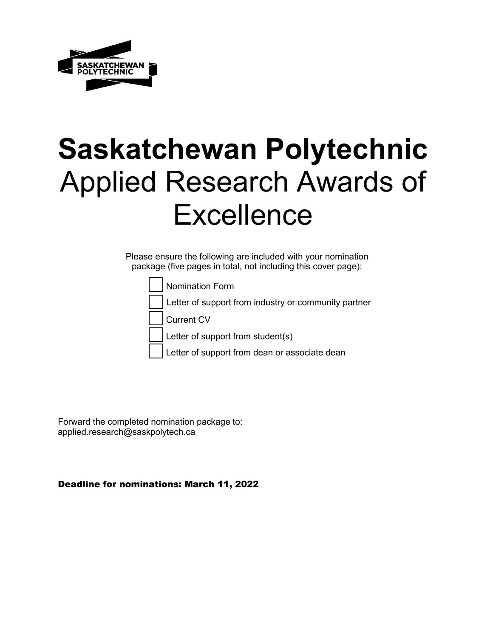

# **Saskatchewan Polytechnic**  Applied Research Awards of **Excellence**

Please ensure the following are included with your nomination package (five pages in total, not including this cover page):

Nomination Form

Letter of support from industry or community partner

Current CV

Letter of support from student(s)

Letter of support from dean or associate dean

Forward the completed nomination package to: [applied.research@saskpolytech.ca](mailto:applied.research@saskpolytech.ca)

Deadline for nominations: March 11, 2022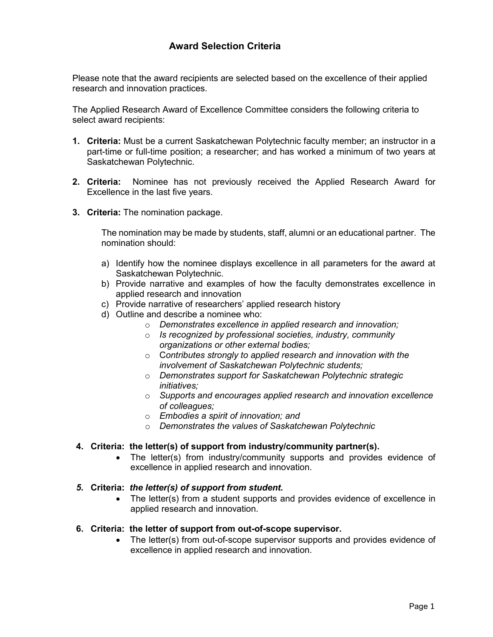### **Award Selection Criteria**

Please note that the award recipients are selected based on the excellence of their applied research and innovation practices.

The Applied Research Award of Excellence Committee considers the following criteria to select award recipients:

- **1. Criteria:** Must be a current Saskatchewan Polytechnic faculty member; an instructor in a part-time or full-time position; a researcher; and has worked a minimum of two years at Saskatchewan Polytechnic.
- **2. Criteria:** Nominee has not previously received the Applied Research Award for Excellence in the last five years.
- **3. Criteria:** The nomination package.

The nomination may be made by students, staff, alumni or an educational partner. The nomination should:

- a) Identify how the nominee displays excellence in all parameters for the award at Saskatchewan Polytechnic.
- b) Provide narrative and examples of how the faculty demonstrates excellence in applied research and innovation
- c) Provide narrative of researchers' applied research history
- d) Outline and describe a nominee who:
	- o *Demonstrates excellence in applied research and innovation;*
	- o *Is recognized by professional societies, industry, community organizations or other external bodies;*
	- o C*ontributes strongly to applied research and innovation with the involvement of Saskatchewan Polytechnic students;*
	- o *Demonstrates support for Saskatchewan Polytechnic strategic initiatives;*
	- o *Supports and encourages applied research and innovation excellence of colleagues;*
	- o *Embodies a spirit of innovation; and*
	- o *Demonstrates the values of Saskatchewan Polytechnic*

#### **4. Criteria: the letter(s) of support from industry/community partner(s).**

- The letter(s) from industry/community supports and provides evidence of excellence in applied research and innovation.
- *5.* **Criteria:** *the letter(s) of support from student.*
	- The letter(s) from a student supports and provides evidence of excellence in applied research and innovation.

#### **6. Criteria: the letter of support from out-of-scope supervisor.**

• The letter(s) from out-of-scope supervisor supports and provides evidence of excellence in applied research and innovation.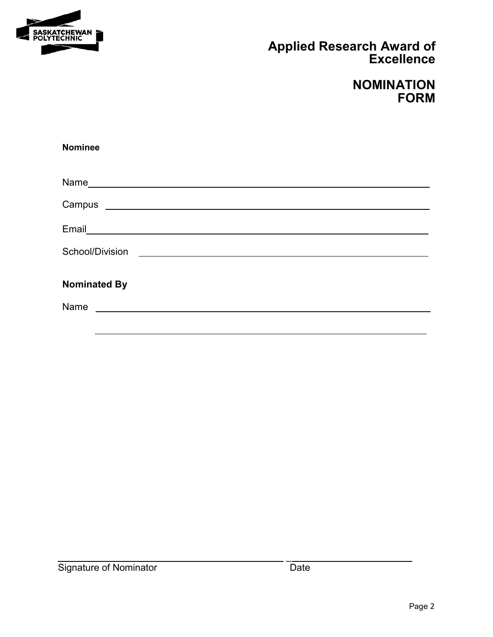

# **Applied Research Award of Excellence**

## **NOMINATION FORM**

| <b>Nominee</b>                                                                                                                       |  |  |  |
|--------------------------------------------------------------------------------------------------------------------------------------|--|--|--|
|                                                                                                                                      |  |  |  |
|                                                                                                                                      |  |  |  |
|                                                                                                                                      |  |  |  |
|                                                                                                                                      |  |  |  |
| <b>Nominated By</b><br>Name 2008 - 2008 - 2008 - 2008 - 2019 - 2019 - 2019 - 2019 - 2019 - 2019 - 2019 - 2019 - 2019 - 2019 - 2019 - |  |  |  |
|                                                                                                                                      |  |  |  |